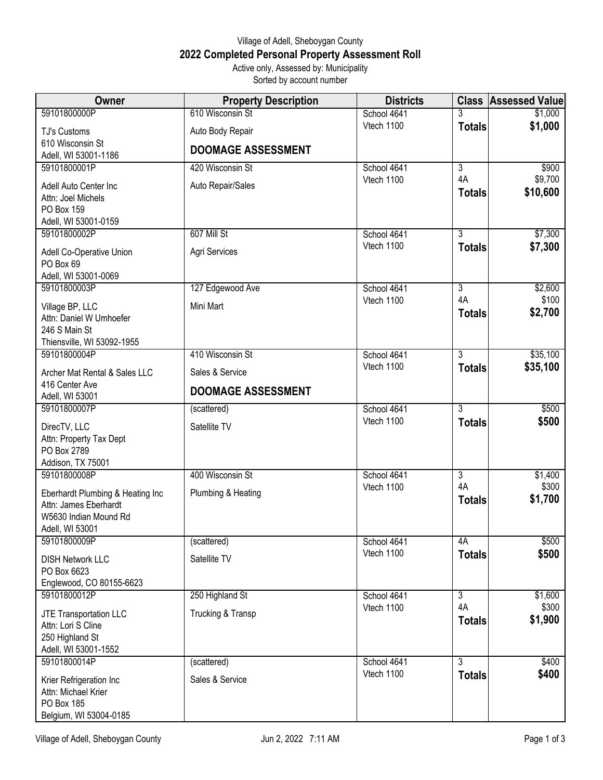## Village of Adell, Sheboygan County **2022 Completed Personal Property Assessment Roll** Active only, Assessed by: Municipality

Sorted by account number

| Owner                                          | <b>Property Description</b> | <b>Districts</b> |                | <b>Class Assessed Value</b> |
|------------------------------------------------|-----------------------------|------------------|----------------|-----------------------------|
| 59101800000P                                   | 610 Wisconsin St            | School 4641      | 3              | \$1,000                     |
| <b>TJ's Customs</b>                            | Auto Body Repair            | Vtech 1100       | <b>Totals</b>  | \$1,000                     |
| 610 Wisconsin St                               | <b>DOOMAGE ASSESSMENT</b>   |                  |                |                             |
| Adell, WI 53001-1186<br>59101800001P           | 420 Wisconsin St            | School 4641      | $\overline{3}$ | \$900                       |
|                                                |                             | Vtech 1100       | 4A             | \$9,700                     |
| Adell Auto Center Inc<br>Attn: Joel Michels    | Auto Repair/Sales           |                  | <b>Totals</b>  | \$10,600                    |
| PO Box 159                                     |                             |                  |                |                             |
| Adell, WI 53001-0159                           |                             |                  |                |                             |
| 59101800002P                                   | 607 Mill St                 | School 4641      | $\overline{3}$ | \$7,300                     |
| Adell Co-Operative Union                       | Agri Services               | Vtech 1100       | <b>Totals</b>  | \$7,300                     |
| PO Box 69                                      |                             |                  |                |                             |
| Adell, WI 53001-0069<br>59101800003P           | 127 Edgewood Ave            | School 4641      | $\overline{3}$ | \$2,600                     |
|                                                |                             | Vtech 1100       | 4A             | \$100                       |
| Village BP, LLC<br>Attn: Daniel W Umhoefer     | Mini Mart                   |                  | <b>Totals</b>  | \$2,700                     |
| 246 S Main St                                  |                             |                  |                |                             |
| Thiensville, WI 53092-1955                     |                             |                  |                |                             |
| 59101800004P                                   | 410 Wisconsin St            | School 4641      | $\overline{3}$ | \$35,100                    |
| Archer Mat Rental & Sales LLC                  | Sales & Service             | Vtech 1100       | <b>Totals</b>  | \$35,100                    |
| 416 Center Ave<br>Adell, WI 53001              | <b>DOOMAGE ASSESSMENT</b>   |                  |                |                             |
| 59101800007P                                   | (scattered)                 | School 4641      | 3              | \$500                       |
| DirecTV, LLC                                   | Satellite TV                | Vtech 1100       | <b>Totals</b>  | \$500                       |
| Attn: Property Tax Dept                        |                             |                  |                |                             |
| PO Box 2789<br>Addison, TX 75001               |                             |                  |                |                             |
| 59101800008P                                   | 400 Wisconsin St            | School 4641      | $\overline{3}$ | \$1,400                     |
| Eberhardt Plumbing & Heating Inc               | Plumbing & Heating          | Vtech 1100       | 4A             | \$300                       |
| Attn: James Eberhardt                          |                             |                  | <b>Totals</b>  | \$1,700                     |
| W5630 Indian Mound Rd                          |                             |                  |                |                             |
| Adell, WI 53001<br>59101800009P                | (scattered)                 | School 4641      | 4A             | \$500                       |
|                                                |                             | Vtech 1100       | <b>Totals</b>  | \$500                       |
| <b>DISH Network LLC</b><br>PO Box 6623         | Satellite TV                |                  |                |                             |
| Englewood, CO 80155-6623                       |                             |                  |                |                             |
| 59101800012P                                   | 250 Highland St             | School 4641      | $\overline{3}$ | \$1,600                     |
| JTE Transportation LLC                         | Trucking & Transp           | Vtech 1100       | 4A             | \$300                       |
| Attn: Lori S Cline                             |                             |                  | <b>Totals</b>  | \$1,900                     |
| 250 Highland St                                |                             |                  |                |                             |
| Adell, WI 53001-1552<br>59101800014P           | (scattered)                 | School 4641      | $\overline{3}$ | \$400                       |
|                                                |                             | Vtech 1100       | <b>Totals</b>  | \$400                       |
| Krier Refrigeration Inc<br>Attn: Michael Krier | Sales & Service             |                  |                |                             |
| PO Box 185                                     |                             |                  |                |                             |
| Belgium, WI 53004-0185                         |                             |                  |                |                             |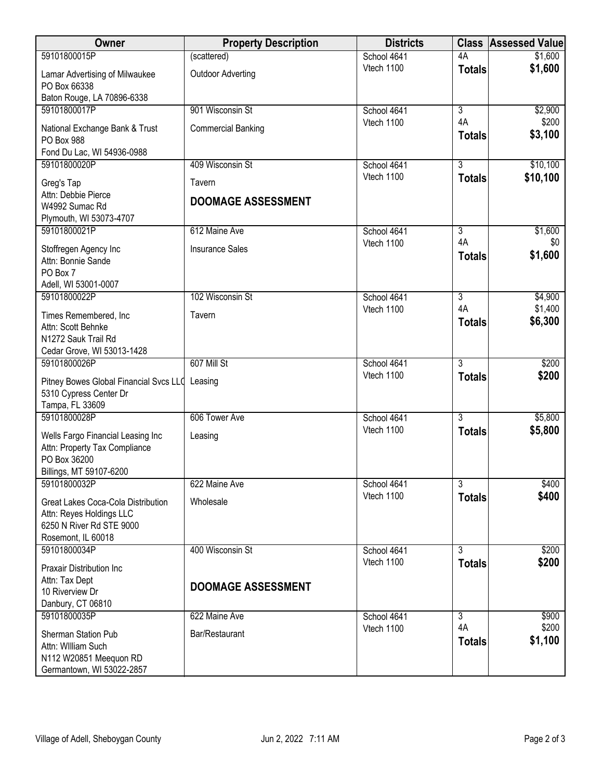| 59101800015P<br>(scattered)<br>\$1,600<br>School 4641<br>4A<br>\$1,600<br>Vtech 1100<br><b>Totals</b><br><b>Outdoor Adverting</b><br>Lamar Advertising of Milwaukee<br>PO Box 66338<br>Baton Rouge, LA 70896-6338<br>59101800017P<br>901 Wisconsin St<br>School 4641<br>$\overline{3}$<br>\$2,900<br>4A<br>\$200<br>Vtech 1100<br><b>Commercial Banking</b><br>National Exchange Bank & Trust<br>\$3,100<br><b>Totals</b><br>PO Box 988<br>Fond Du Lac, WI 54936-0988<br>$\overline{3}$<br>\$10,100<br>409 Wisconsin St<br>59101800020P<br>School 4641<br>Vtech 1100<br>\$10,100<br><b>Totals</b><br>Greg's Tap<br>Tavern<br>Attn: Debbie Pierce<br><b>DOOMAGE ASSESSMENT</b><br>W4992 Sumac Rd<br>Plymouth, WI 53073-4707<br>59101800021P<br>612 Maine Ave<br>School 4641<br>$\overline{3}$<br>\$1,600<br>4A<br>Vtech 1100<br>\$0<br><b>Insurance Sales</b><br>Stoffregen Agency Inc<br>\$1,600<br><b>Totals</b><br>Attn: Bonnie Sande<br>PO Box 7<br>Adell, WI 53001-0007<br>59101800022P<br>102 Wisconsin St<br>$\overline{3}$<br>\$4,900<br>School 4641<br>4A<br>\$1,400<br>Vtech 1100<br>Times Remembered, Inc<br>Tavern<br>\$6,300<br><b>Totals</b><br>Attn: Scott Behnke<br>N1272 Sauk Trail Rd<br>Cedar Grove, WI 53013-1428<br>607 Mill St<br>$\overline{3}$<br>\$200<br>59101800026P<br>School 4641<br>Vtech 1100<br>\$200<br><b>Totals</b><br>Pitney Bowes Global Financial Svcs LLC Leasing<br>5310 Cypress Center Dr<br>Tampa, FL 33609<br>59101800028P<br>$\overline{3}$<br>606 Tower Ave<br>School 4641<br>\$5,800<br>Vtech 1100<br>\$5,800<br><b>Totals</b><br>Wells Fargo Financial Leasing Inc<br>Leasing<br>Attn: Property Tax Compliance<br>PO Box 36200<br>Billings, MT 59107-6200<br>$\overline{3}$<br>59101800032P<br>622 Maine Ave<br>School 4641<br>\$400<br>Vtech 1100<br>\$400<br><b>Totals</b><br>Wholesale<br>Great Lakes Coca-Cola Distribution<br>Attn: Reyes Holdings LLC<br>6250 N River Rd STE 9000<br>Rosemont, IL 60018<br>400 Wisconsin St<br>$\overline{3}$<br>59101800034P<br>School 4641<br>\$200<br>Vtech 1100<br>\$200<br><b>Totals</b> | Owner                     | <b>Property Description</b> | <b>Districts</b> | <b>Class Assessed Value</b> |
|-----------------------------------------------------------------------------------------------------------------------------------------------------------------------------------------------------------------------------------------------------------------------------------------------------------------------------------------------------------------------------------------------------------------------------------------------------------------------------------------------------------------------------------------------------------------------------------------------------------------------------------------------------------------------------------------------------------------------------------------------------------------------------------------------------------------------------------------------------------------------------------------------------------------------------------------------------------------------------------------------------------------------------------------------------------------------------------------------------------------------------------------------------------------------------------------------------------------------------------------------------------------------------------------------------------------------------------------------------------------------------------------------------------------------------------------------------------------------------------------------------------------------------------------------------------------------------------------------------------------------------------------------------------------------------------------------------------------------------------------------------------------------------------------------------------------------------------------------------------------------------------------------------------------------------------------------------------------------------------------------------------------------------------------------------------------------------------|---------------------------|-----------------------------|------------------|-----------------------------|
|                                                                                                                                                                                                                                                                                                                                                                                                                                                                                                                                                                                                                                                                                                                                                                                                                                                                                                                                                                                                                                                                                                                                                                                                                                                                                                                                                                                                                                                                                                                                                                                                                                                                                                                                                                                                                                                                                                                                                                                                                                                                                   |                           |                             |                  |                             |
|                                                                                                                                                                                                                                                                                                                                                                                                                                                                                                                                                                                                                                                                                                                                                                                                                                                                                                                                                                                                                                                                                                                                                                                                                                                                                                                                                                                                                                                                                                                                                                                                                                                                                                                                                                                                                                                                                                                                                                                                                                                                                   |                           |                             |                  |                             |
|                                                                                                                                                                                                                                                                                                                                                                                                                                                                                                                                                                                                                                                                                                                                                                                                                                                                                                                                                                                                                                                                                                                                                                                                                                                                                                                                                                                                                                                                                                                                                                                                                                                                                                                                                                                                                                                                                                                                                                                                                                                                                   |                           |                             |                  |                             |
|                                                                                                                                                                                                                                                                                                                                                                                                                                                                                                                                                                                                                                                                                                                                                                                                                                                                                                                                                                                                                                                                                                                                                                                                                                                                                                                                                                                                                                                                                                                                                                                                                                                                                                                                                                                                                                                                                                                                                                                                                                                                                   |                           |                             |                  |                             |
|                                                                                                                                                                                                                                                                                                                                                                                                                                                                                                                                                                                                                                                                                                                                                                                                                                                                                                                                                                                                                                                                                                                                                                                                                                                                                                                                                                                                                                                                                                                                                                                                                                                                                                                                                                                                                                                                                                                                                                                                                                                                                   |                           |                             |                  |                             |
|                                                                                                                                                                                                                                                                                                                                                                                                                                                                                                                                                                                                                                                                                                                                                                                                                                                                                                                                                                                                                                                                                                                                                                                                                                                                                                                                                                                                                                                                                                                                                                                                                                                                                                                                                                                                                                                                                                                                                                                                                                                                                   |                           |                             |                  |                             |
|                                                                                                                                                                                                                                                                                                                                                                                                                                                                                                                                                                                                                                                                                                                                                                                                                                                                                                                                                                                                                                                                                                                                                                                                                                                                                                                                                                                                                                                                                                                                                                                                                                                                                                                                                                                                                                                                                                                                                                                                                                                                                   |                           |                             |                  |                             |
|                                                                                                                                                                                                                                                                                                                                                                                                                                                                                                                                                                                                                                                                                                                                                                                                                                                                                                                                                                                                                                                                                                                                                                                                                                                                                                                                                                                                                                                                                                                                                                                                                                                                                                                                                                                                                                                                                                                                                                                                                                                                                   |                           |                             |                  |                             |
|                                                                                                                                                                                                                                                                                                                                                                                                                                                                                                                                                                                                                                                                                                                                                                                                                                                                                                                                                                                                                                                                                                                                                                                                                                                                                                                                                                                                                                                                                                                                                                                                                                                                                                                                                                                                                                                                                                                                                                                                                                                                                   |                           |                             |                  |                             |
|                                                                                                                                                                                                                                                                                                                                                                                                                                                                                                                                                                                                                                                                                                                                                                                                                                                                                                                                                                                                                                                                                                                                                                                                                                                                                                                                                                                                                                                                                                                                                                                                                                                                                                                                                                                                                                                                                                                                                                                                                                                                                   |                           |                             |                  |                             |
|                                                                                                                                                                                                                                                                                                                                                                                                                                                                                                                                                                                                                                                                                                                                                                                                                                                                                                                                                                                                                                                                                                                                                                                                                                                                                                                                                                                                                                                                                                                                                                                                                                                                                                                                                                                                                                                                                                                                                                                                                                                                                   |                           |                             |                  |                             |
|                                                                                                                                                                                                                                                                                                                                                                                                                                                                                                                                                                                                                                                                                                                                                                                                                                                                                                                                                                                                                                                                                                                                                                                                                                                                                                                                                                                                                                                                                                                                                                                                                                                                                                                                                                                                                                                                                                                                                                                                                                                                                   |                           |                             |                  |                             |
|                                                                                                                                                                                                                                                                                                                                                                                                                                                                                                                                                                                                                                                                                                                                                                                                                                                                                                                                                                                                                                                                                                                                                                                                                                                                                                                                                                                                                                                                                                                                                                                                                                                                                                                                                                                                                                                                                                                                                                                                                                                                                   |                           |                             |                  |                             |
|                                                                                                                                                                                                                                                                                                                                                                                                                                                                                                                                                                                                                                                                                                                                                                                                                                                                                                                                                                                                                                                                                                                                                                                                                                                                                                                                                                                                                                                                                                                                                                                                                                                                                                                                                                                                                                                                                                                                                                                                                                                                                   |                           |                             |                  |                             |
|                                                                                                                                                                                                                                                                                                                                                                                                                                                                                                                                                                                                                                                                                                                                                                                                                                                                                                                                                                                                                                                                                                                                                                                                                                                                                                                                                                                                                                                                                                                                                                                                                                                                                                                                                                                                                                                                                                                                                                                                                                                                                   |                           |                             |                  |                             |
|                                                                                                                                                                                                                                                                                                                                                                                                                                                                                                                                                                                                                                                                                                                                                                                                                                                                                                                                                                                                                                                                                                                                                                                                                                                                                                                                                                                                                                                                                                                                                                                                                                                                                                                                                                                                                                                                                                                                                                                                                                                                                   |                           |                             |                  |                             |
|                                                                                                                                                                                                                                                                                                                                                                                                                                                                                                                                                                                                                                                                                                                                                                                                                                                                                                                                                                                                                                                                                                                                                                                                                                                                                                                                                                                                                                                                                                                                                                                                                                                                                                                                                                                                                                                                                                                                                                                                                                                                                   |                           |                             |                  |                             |
|                                                                                                                                                                                                                                                                                                                                                                                                                                                                                                                                                                                                                                                                                                                                                                                                                                                                                                                                                                                                                                                                                                                                                                                                                                                                                                                                                                                                                                                                                                                                                                                                                                                                                                                                                                                                                                                                                                                                                                                                                                                                                   |                           |                             |                  |                             |
|                                                                                                                                                                                                                                                                                                                                                                                                                                                                                                                                                                                                                                                                                                                                                                                                                                                                                                                                                                                                                                                                                                                                                                                                                                                                                                                                                                                                                                                                                                                                                                                                                                                                                                                                                                                                                                                                                                                                                                                                                                                                                   |                           |                             |                  |                             |
|                                                                                                                                                                                                                                                                                                                                                                                                                                                                                                                                                                                                                                                                                                                                                                                                                                                                                                                                                                                                                                                                                                                                                                                                                                                                                                                                                                                                                                                                                                                                                                                                                                                                                                                                                                                                                                                                                                                                                                                                                                                                                   |                           |                             |                  |                             |
|                                                                                                                                                                                                                                                                                                                                                                                                                                                                                                                                                                                                                                                                                                                                                                                                                                                                                                                                                                                                                                                                                                                                                                                                                                                                                                                                                                                                                                                                                                                                                                                                                                                                                                                                                                                                                                                                                                                                                                                                                                                                                   |                           |                             |                  |                             |
|                                                                                                                                                                                                                                                                                                                                                                                                                                                                                                                                                                                                                                                                                                                                                                                                                                                                                                                                                                                                                                                                                                                                                                                                                                                                                                                                                                                                                                                                                                                                                                                                                                                                                                                                                                                                                                                                                                                                                                                                                                                                                   |                           |                             |                  |                             |
|                                                                                                                                                                                                                                                                                                                                                                                                                                                                                                                                                                                                                                                                                                                                                                                                                                                                                                                                                                                                                                                                                                                                                                                                                                                                                                                                                                                                                                                                                                                                                                                                                                                                                                                                                                                                                                                                                                                                                                                                                                                                                   |                           |                             |                  |                             |
|                                                                                                                                                                                                                                                                                                                                                                                                                                                                                                                                                                                                                                                                                                                                                                                                                                                                                                                                                                                                                                                                                                                                                                                                                                                                                                                                                                                                                                                                                                                                                                                                                                                                                                                                                                                                                                                                                                                                                                                                                                                                                   |                           |                             |                  |                             |
|                                                                                                                                                                                                                                                                                                                                                                                                                                                                                                                                                                                                                                                                                                                                                                                                                                                                                                                                                                                                                                                                                                                                                                                                                                                                                                                                                                                                                                                                                                                                                                                                                                                                                                                                                                                                                                                                                                                                                                                                                                                                                   |                           |                             |                  |                             |
|                                                                                                                                                                                                                                                                                                                                                                                                                                                                                                                                                                                                                                                                                                                                                                                                                                                                                                                                                                                                                                                                                                                                                                                                                                                                                                                                                                                                                                                                                                                                                                                                                                                                                                                                                                                                                                                                                                                                                                                                                                                                                   |                           |                             |                  |                             |
|                                                                                                                                                                                                                                                                                                                                                                                                                                                                                                                                                                                                                                                                                                                                                                                                                                                                                                                                                                                                                                                                                                                                                                                                                                                                                                                                                                                                                                                                                                                                                                                                                                                                                                                                                                                                                                                                                                                                                                                                                                                                                   |                           |                             |                  |                             |
|                                                                                                                                                                                                                                                                                                                                                                                                                                                                                                                                                                                                                                                                                                                                                                                                                                                                                                                                                                                                                                                                                                                                                                                                                                                                                                                                                                                                                                                                                                                                                                                                                                                                                                                                                                                                                                                                                                                                                                                                                                                                                   |                           |                             |                  |                             |
|                                                                                                                                                                                                                                                                                                                                                                                                                                                                                                                                                                                                                                                                                                                                                                                                                                                                                                                                                                                                                                                                                                                                                                                                                                                                                                                                                                                                                                                                                                                                                                                                                                                                                                                                                                                                                                                                                                                                                                                                                                                                                   |                           |                             |                  |                             |
|                                                                                                                                                                                                                                                                                                                                                                                                                                                                                                                                                                                                                                                                                                                                                                                                                                                                                                                                                                                                                                                                                                                                                                                                                                                                                                                                                                                                                                                                                                                                                                                                                                                                                                                                                                                                                                                                                                                                                                                                                                                                                   |                           |                             |                  |                             |
|                                                                                                                                                                                                                                                                                                                                                                                                                                                                                                                                                                                                                                                                                                                                                                                                                                                                                                                                                                                                                                                                                                                                                                                                                                                                                                                                                                                                                                                                                                                                                                                                                                                                                                                                                                                                                                                                                                                                                                                                                                                                                   | Praxair Distribution Inc. |                             |                  |                             |
| Attn: Tax Dept<br><b>DOOMAGE ASSESSMENT</b>                                                                                                                                                                                                                                                                                                                                                                                                                                                                                                                                                                                                                                                                                                                                                                                                                                                                                                                                                                                                                                                                                                                                                                                                                                                                                                                                                                                                                                                                                                                                                                                                                                                                                                                                                                                                                                                                                                                                                                                                                                       |                           |                             |                  |                             |
| 10 Riverview Dr                                                                                                                                                                                                                                                                                                                                                                                                                                                                                                                                                                                                                                                                                                                                                                                                                                                                                                                                                                                                                                                                                                                                                                                                                                                                                                                                                                                                                                                                                                                                                                                                                                                                                                                                                                                                                                                                                                                                                                                                                                                                   |                           |                             |                  |                             |
| Danbury, CT 06810<br>59101800035P<br>$\overline{3}$<br>\$900<br>622 Maine Ave<br>School 4641                                                                                                                                                                                                                                                                                                                                                                                                                                                                                                                                                                                                                                                                                                                                                                                                                                                                                                                                                                                                                                                                                                                                                                                                                                                                                                                                                                                                                                                                                                                                                                                                                                                                                                                                                                                                                                                                                                                                                                                      |                           |                             |                  |                             |
| 4A<br>\$200<br>Vtech 1100                                                                                                                                                                                                                                                                                                                                                                                                                                                                                                                                                                                                                                                                                                                                                                                                                                                                                                                                                                                                                                                                                                                                                                                                                                                                                                                                                                                                                                                                                                                                                                                                                                                                                                                                                                                                                                                                                                                                                                                                                                                         |                           |                             |                  |                             |
| Sherman Station Pub<br>Bar/Restaurant<br>\$1,100<br><b>Totals</b>                                                                                                                                                                                                                                                                                                                                                                                                                                                                                                                                                                                                                                                                                                                                                                                                                                                                                                                                                                                                                                                                                                                                                                                                                                                                                                                                                                                                                                                                                                                                                                                                                                                                                                                                                                                                                                                                                                                                                                                                                 |                           |                             |                  |                             |
| Attn: William Such                                                                                                                                                                                                                                                                                                                                                                                                                                                                                                                                                                                                                                                                                                                                                                                                                                                                                                                                                                                                                                                                                                                                                                                                                                                                                                                                                                                                                                                                                                                                                                                                                                                                                                                                                                                                                                                                                                                                                                                                                                                                |                           |                             |                  |                             |
| N112 W20851 Meequon RD<br>Germantown, WI 53022-2857                                                                                                                                                                                                                                                                                                                                                                                                                                                                                                                                                                                                                                                                                                                                                                                                                                                                                                                                                                                                                                                                                                                                                                                                                                                                                                                                                                                                                                                                                                                                                                                                                                                                                                                                                                                                                                                                                                                                                                                                                               |                           |                             |                  |                             |